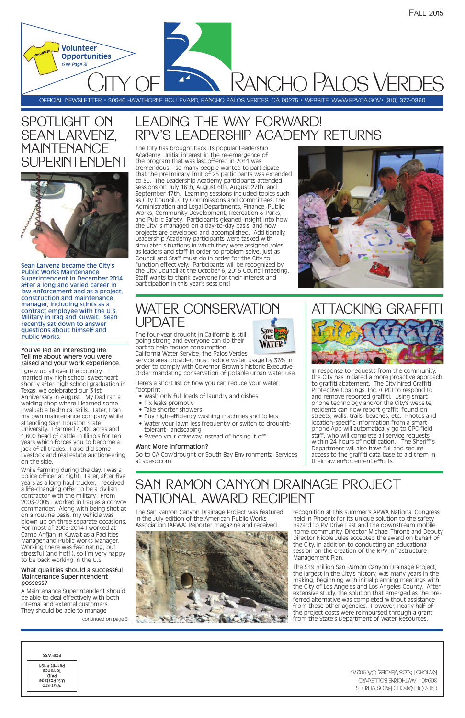OFFICIAL NEWSLETTER • 30940 HAWTHORNE BOULEVARD, RANCHO PALOS VERDES, CA 90275 • WEBSITE: WWW.RPVCA.GOV• (310) 377-0360

**PANCHO PALOS VERDES** 

## LEADING THE WAY FORWARD! RPV'S LEADERSHIP ACADEMY RETURNS

*(See Page 3)*

**Volunteer Opportunities**



## SPOTLIGHT ON SEAN LARVENZ, MAINTENANCE SUPERINTENDENT

continued on page 3



Sean Larvenz became the City's Public Works Maintenance Superintendent in December 2014 after a long and varied career in law enforcement and as a project, construction and maintenance manager, including stints as a contract employee with the U.S. Military in Iraq and Kuwait. Sean recently sat down to answer questions about himself and Public Works.

#### You've led an interesting life. Tell me about where you were raised and your work experience.

I grew up all over the country. I married my high school sweetheart shortly after high school graduation in Texas; we celebrated our 31st Anniversary in August. My Dad ran a welding shop where I learned some invaluable technical skills. Later, I ran my own maintenance company while attending Sam Houston State University. I farmed 4,000 acres and 1,600 head of cattle in Illinois for ten years which forces you to become a jack of all trades. I also did some livestock and real estate auctioneering on the side.

While farming during the day, I was a police officer at night. Later, after five years as a long haul trucker, I received a life-changing offer to be a civilian contractor with the military. From 2003-2005 I worked in Iraq as a convoy commander. Along with being shot at on a routine basis, my vehicle was blown up on three separate occasions.

For most of 2005-2014 I worked at Camp Arifjan in Kuwait as a Facilities Manager and Public Works Manager. Working there was fascinating, but stressful (and hot!!), so I'm very happy to be back working in the U.S.

#### What qualities should a successful Maintenance Superintendent possess?

A Maintenance Superintendent should be able to deal effectively with both internal and external customers. They should be able to manage

The City has brought back its popular Leadership Academy! Initial interest in the re-emergence of the program that was last offered in 2011 was tremendous – so many people wanted to participate that the preliminary limit of 25 participants was extended to 30. The Leadership Academy participants attended sessions on July 16th, August 6th, August 27th, and September 17th. Learning sessions included topics such as City Council, City Commissions and Committees, the Administration and Legal Departments, Finance, Public Works, Community Development, Recreation & Parks, and Public Safety. Participants gleaned insight into how the City is managed on a day-to-day basis, and how projects are developed and accomplished. Additionally, Leadership Academy participants were tasked with simulated situations in which they were assigned roles as leaders and staff in order to problem solve, just as Council and Staff must do in order for the City to function effectively. Participants will be recognized by the City Council at the October 6, 2015 Council meeting. Staff wants to thank everyone for their interest and participation in this year's sessions!



## SAN RAMON CANYON DRAINAGE PROJECT NATIONAL AWARD RECIPIENT

**Our** 

The San Ramon Canyon Drainage Project was featured in the July edition of the American Public Works Association (APWA) Reporter magazine and received

recognition at this summer's APWA National Congress held in Phoenix for its unique solution to the safety hazard to PV Drive East and the downstream mobile home community. Director Michael Throne and Deputy Director Nicole Jules accepted the award on behalf of the City, in addition to conducting an educational session on the creation of the RPV Infrastructure Management Plan.

The \$19 million San Ramon Canyon Drainage Project, the largest in the City's history, was many years in the making, beginning with initial planning meetings with the City of Los Angeles and Los Angeles County. After extensive study, the solution that emerged as the preferred alternative was completed without assistance from these other agencies. However, nearly half of the project costs were reimbursed through a grant from the State's Department of Water Resources.

| ECK-M22                                                       |
|---------------------------------------------------------------|
| Permit # 194<br>Torrance<br>alAq<br>U.S. Postage<br>Prsrt-STD |

### WATER CONSERVATION UPDATE

The four-year drought in California is still going strong and everyone can do their part to help reduce consumption.



service area provider, must reduce water usage by 36% in order to comply with Governor Brown's historic Executive Order mandating conservation of potable urban water use.

Here's a short list of how you can reduce your water footprint:

- Wash only full loads of laundry and dishes
- Fix leaks promptly
- Take shorter showers
- Buy high-efficiency washing machines and toilets
- Water your lawn less frequently or switch to droughttolerant landscaping
- Sweep your driveway instead of hosing it off

#### Want More Information?

Go to CA.Gov/drought or South Bay Environmental Services at sbesc.com

## ATTACKING GRAFFITI



In response to requests from the community, the City has initiated a more proactive approach to graffiti abatement. The City hired Graffiti Protective Coatings, Inc. (GPC) to respond to and remove reported graffiti. Using smart phone technology and/or the City's website, residents can now report graffiti found on streets, walls, trails, beaches, etc. Photos and location-specific information from a smart phone App will automatically go to GPC field staff, who will complete all service requests within 24 hours of notification. The Sheriff's Department will also have full and secure access to the graffiti data base to aid them in their law enforcement efforts.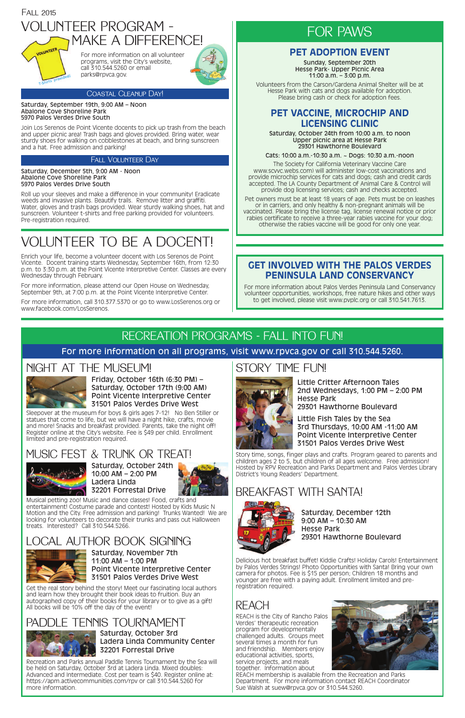### NIGHT AT THE MUSEUM!



Sleepover at the museum for boys & girls ages 7-12! No Ben Stiller or statues that come to life, but we will have a night hike, crafts, movie and more! Snacks and breakfast provided. Parents, take the night off! Register online at the City's website. Fee is \$49 per child. Enrollment limited and pre-registration required.

Friday, October 16th (6:30 PM) – Saturday, October 17th (9:00 AM) Point Vicente Interpretive Center 31501 Palos Verdes Drive West

## MUSIC FEST & TRUNK OR TREAT!



Musical petting zoo! Music and dance classes! Food, crafts and entertainment! Costume parade and contest! Hosted by Kids Music N Motion and the City. Free admission and parking! Trunks Wanted! We are looking for volunteers to decorate their trunks and pass out Halloween treats. Interested? Call 310.544.5266.

Saturday, October 24th 10:00 AM – 2:00 PM Ladera Linda



Delicious hot breakfast buffet! Kiddie Crafts! Holiday Carols! Entertainment by Palos Verdes Strings! Photo Opportunities with Santa! Bring your own camera for photos. Fee is \$15 per person; Children 18 months and younger are free with a paying adult. Enrollment limited and preregistration required.

Saturday, December 12th 9:00 AM – 10:30 AM

#### Hesse Park 29301 Hawthorne Boulevard

## REACH

REACH is the City of Rancho Palos Verdes' therapeutic recreation program for developmentally challenged adults. Groups meet several times a month for fun and friendship. Members enjoy educational activities, sports, service projects, and meals together. Information about



REACH membership is available from the Recreation and Parks Department. For more information contact REACH Coordinator Sue Walsh at suew@rpvca.gov or 310.544.5260.

## STORY TIME FUN!



Story time, songs, finger plays and crafts. Program geared to parents and children ages 2 to 5, but children of all ages welcome. Free admission! Hosted by RPV Recreation and Parks Department and Palos Verdes Library District's Young Readers' Department.

## 32201 Forrestal Drive **BREAKFAST WITH SANTA!**



Volunteers from the Carson/Gardena Animal Shelter will be at Hesse Park with cats and dogs available for adoption. Please Park with cats and dogs available for adopt<br>Please bring cash or check for adoption fees.

> Little Critter Afternoon Tales 2nd Wednesdays, 1:00 PM – 2:00 PM Hesse Park

29301 Hawthorne Boulevard



Little Fish Tales by the Sea 3rd Thursdays, 10:00 AM -11:00 AM Point Vicente Interpretive Center 31501 Palos Verdes Drive West

## RECREATION PROGRAMS - FALL INTO FUN!

For more information on all programs, visit www.rpvca.gov or call 310.544.5260.

Saturday, September 19th, 9:00 AM – Noon Abalone Cove Shoreline Park 5970 Palos Verdes Drive South

Join Los Serenos de Point Vicente docents to pick up trash from the beach and upper picnic area! Trash bags and gloves provided. Bring water, wear sturdy shoes for walking on cobblestones at beach, and bring sunscreen and a hat. Free admission and parking!

Saturday, December 5th, 9:00 AM - Noon Abalone Cove Shoreline Park 5970 Palos Verdes Drive South

Roll up your sleeves and make a difference in your community! Eradicate weeds and invasive plants. Beautify trails. Remove litter and graffiti. Water, gloves and trash bags provided. Wear sturdy walking shoes, hat and sunscreen. Volunteer t-shirts and free parking provided for volunteers. Pre-registration required.

## LOCAL AUTHOR BOOK SIGNING



Saturday, November 7th 11:00 AM – 1:00 PM Point Vicente Interpretive Center 31501 Palos Verdes Drive West

Get the real story behind the story! Meet our fascinating local authors and learn how they brought their book ideas to fruition. Buy an autographed copy of their books for your library or to give as a gift! All books will be 10% off the day of the event!

### **GET INVOLVED WITH THE PALOS VERDES PENINSULA LAND CONSERVANCY**

For more information about Palos Verdes Peninsula Land Conservancy volunteer opportunities, workshops, free nature hikes and other ways to get involved, please visit www.pvplc.org or call 310.541.7613.

### **PET ADOPTION EVENT**

Sunday, September 20th Hesse Park- Upper Picnic Area 11:00 a.m. – 3:00 p.m.

### Fall Volunteer Day

For more information on all volunteer programs, visit the City's website, call 310.544.5260 or email



# VOLUNTEER TO BE A DOCENT!

Enrich your life, become a volunteer docent with Los Serenos de Point Vicente. Docent training starts Wednesday, September 16th, from 12:30 p.m. to 3:30 p.m. at the Point Vicente Interpretive Center. Classes are every Wednesday through February.

For more information, please attend our Open House on Wednesday, September 9th, at 7:00 p.m. at the Point Vicente Interpretive Center.

For more information, call 310.377.5370 or go to www.LosSerenos.org or www.facebook.com/LosSerenos.

## PADDLE TENNIS TOURNAMENT



Saturday, October 3rd Ladera Linda Community Center 32201 Forrestal Drive

Recreation and Parks annual Paddle Tennis Tournament by the Sea will be held on Saturday, October 3rd at Ladera Linda. Mixed doubles: Advanced and Intermediate. Cost per team is \$40. Register online at: https://apm.activecommunities.com/rpv or call 310.544.5260 for more information.

### **PET VACCINE, MICROCHIP AND LICENSING CLINIC**

Saturday, October 24th from 10:00 a.m. to noon Upper picnic area at Hesse Park 29301 Hawthorne Boulevard

Cats: 10:00 a.m.-10:30 a.m. ~ Dogs: 10:30 a.m.-noon

The Society for California Veterinary Vaccine Care www.scvvc.webs.com) will administer low-cost vaccinations and provide microchip services for cats and dogs; cash and credit cards accepted. The LA County Department of Animal Care & Control will provide dog licensing services; cash and checks accepted.

Pet owners must be at least 18 years of age. Pets must be on leashes or in carriers, and only healthy & non-pregnant animals will be vaccinated. Please bring the license tag, license renewal notice or prior rabies certificate to receive a three-year rabies vaccine for your dog; otherwise the rabies vaccine will be good for only one year.

## FOR PAWS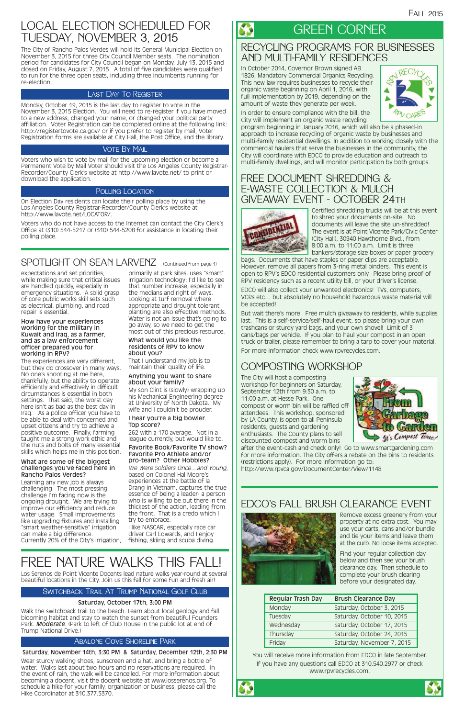#### $\boldsymbol{\mathcal{S}}$ GREEN CORNER

### RECYCLING PROGRAMS FOR BUSINESSES AND MULTI-FAMILY RESIDENCES

In October 2014, Governor Brown signed AB 1826, Mandatory Commercial Organics Recycling. This new law requires businesses to recycle their organic waste beginning on April 1, 2016, with full implementation by 2019, depending on the amount of waste they generate per week.



In order to ensure compliance with the bill, the City will implement an organic waste recycling

program beginning in January 2016, which will also be a phased-in approach to increase recycling of organic waste by businesses and multi-family residential dwellings. In addition to working closely with the commercial haulers that serve the businesses in the community, the City will coordinate with EDCO to provide education and outreach to multi-family dwellings, and will monitor participation by both groups.

### FREE DOCUMENT SHREDDING & E-WASTE COLLECTION & MULCH GIVEAWAY EVENT - OCTOBER 24th



Certified shredding trucks will be at this event to shred your documents on-site. No documents will leave the site un-shredded! The event is at Point Vicente Park/Civic Center (City Hall), 30940 Hawthorne Blvd., from 8:00 a.m. to 11:00 a.m. Limit is three bankers/storage size boxes or paper grocery

bags. Documents that have staples or paper clips are acceptable. However, remove all papers from 3-ring metal binders. This event is open to RPV's EDCO residential customers only. Please bring proof of RPV residency such as a recent utility bill, or your driver's license.

EDCO will also collect your unwanted electronics! TVs, computers, VCRs etc… but absolutely no household hazardous waste material will be accepted!

But wait there's more: Free mulch giveaway to residents, while supplies last. This is a self-service/self-haul event, so please bring your own trashcans or sturdy yard bags, and your own shovel! Limit of 3 cans/bags per vehicle. If you plan to haul your compost in an open truck or trailer, please remember to bring a tarp to cover your material. For more information check www.rpvrecycles.com.

### COMPOSTING WORKSHOP

The City will host a composting workshop for beginners on Saturday, September 12th from 9:30 a.m. to 11:00 a.m. at Hesse Park. One compost or worm bin will be raffled off attendees. This workshop, sponsored by LA County, is open to all Peninsula residents, guests and gardening enthusiasts. The County plans to sell discounted compost and worm bins



after the event-cash and check only! Go to www.smartgardening.com for more information. The City offers a rebate on the bins to residents (restrictions apply). For more information go to: http://www.rpvca.gov/DocumentCenter/View/1148

### EDCO's FALL BRUSH CLEARANCE EVENT



Remove excess greenery from your property at no extra cost. You may

use your carts, cans and/or bundle and tie your items and leave them at the curb. No loose items accepted.

Find your regular collection day below and then see your brush clearance day. Then schedule to complete your brush clearing before your designated day.

| Regular Trash Day | <b>Brush Clearance Day</b> |  |
|-------------------|----------------------------|--|
| Monday            | Saturday, October 3, 2015  |  |
| Tuesday           | Saturday, October 10, 2015 |  |
| Wednesday         | Saturday, October 17, 2015 |  |
| Thursday          | Saturday, October 24, 2015 |  |
| Friday            | Saturday, November 7, 2015 |  |

You will receive more information from EDCO in late September. If you have any questions call EDCO at 310.540.2977 or check www.rpvrecycles.com.





expectations and set priorities, while making sure that critical issues are handled quickly, especially in emergency situations. A solid grasp of core public works skill sets such as electrical, plumbing, and road repair is essential.

#### How have your experiences working for the military in Kuwait and Iraq, as a farmer, and as a law enforcement officer prepared you for working in RPV?

The experiences are very different, but they do crossover in many ways. No one's shooting at me here, thankfully, but the ability to operate efficiently and effectively in difficult circumstances is essential in both settings. That said, the worst day here isn't as bad as the best day in Iraq. As a police officer you have to be able to deal with concerned and upset citizens and try to achieve a positive outcome. Finally, farming taught me a strong work ethic and the nuts and bolts of many essential skills which helps me in this position.

#### What are some of the biggest challenges you've faced here in Rancho Palos Verdes?

Learning any new job is always challenging. The most pressing challenge I'm facing now is the ongoing drought. We are trying to improve our efficiency and reduce water usage. Small improvements like upgrading fixtures and installing

primarily at park sites, uses "smart" irrigation technology; I'd like to see that number increase, especially in the medians and right of ways. Looking at turf removal where appropriate and drought tolerant planting are also effective methods. Water is not an issue that's going to go away, so we need to get the most out of this precious resource.

#### What would you like the residents of RPV to know about you?

That I understand my job is to maintain their quality of life.

#### Anything you want to share about your family?

"smart weather-sensitive" irrigation can make a big difference. Currently 20% of the City's irrigation, fishing, skiing and scuba diving.

My son Clint is (slowly) wrapping up his Mechanical Engineering degree at University of North Dakota. My wife and I couldn't be prouder.

#### I hear you're a big bowler. Top score?

262 with a 170 average. Not in a league currently, but would like to.

#### Favorite Book/Favorite TV show? Favorite Pro Athlete and/or pro-team? Other Hobbies?

We Were Soldiers Once…and Young, based on Colonel Hal Moore's experiences at the battle of la Drang in Vietnam, captures the true essence of being a leader- a person who is willing to be out there in the thickest of the action, leading from the front. That is a credo which I try to embrace.

I like NASCAR, especially race car driver Carl Edwards, and I enjoy

### LOCAL ELECTION SCHEDULED FOR TUESDAY, NOVEMBER 3, 2015

The City of Rancho Palos Verdes will hold its General Municipal Election on November 3, 2015 for three City Council Member seats. The nomination period for candidates for City Council began on Monday, July 13, 2015 and closed on Friday, August 7, 2015. A total of five candidates were qualified to run for the three open seats, including three incumbents running for re-election.

Monday, October 19, 2015 is the last day to register to vote in the November 3, 2015 Election. You will need to re-register if you have moved to a new address, changed your name, or changed your political party affiliation. Voter Registration can be completed online at the following link: http://registertovote.ca.gov/ or if you prefer to register by mail, Voter Registration forms are available at City Hall, the Post Office, and the library.

### **VOTE BY MAIL**

Voters who wish to vote by mail for the upcoming election or become a Permanent Vote by Mail Voter should visit the Los Angeles County Registrar-Recorder/County Clerk's website at http://www.lavote.net/ to print or download the application.

#### POLLING LOCATION

On Election Day residents can locate their polling place by using the Los Angeles County Registrar-Recorder/County Clerk's website at http://www.lavote.net/LOCATOR/.

Voters who do not have access to the Internet can contact the City Clerk's Office at (310) 544-5217 or (310) 544-5208 for assistance in locating their polling place.

### SPOTLIGHT ON SEAN LARVENZ (Continued from page 1)

#### Last Day To Register

## FREE NATURE WALKS THIS FALL!

#### Saturday, October 17th, 3:00 PM

Walk the switchback trail to the beach. Learn about local geology and fall blooming habitat and stay to watch the sunset from beautiful Founders Park. *Moderate*. (Park to left of Club House in the public lot at end of Trump National Drive.)

### Switchback Trail At Trump National Golf Club

#### Saturday, November 14th, 3:30 PM & Saturday, December 12th, 2:30 PM

Wear sturdy walking shoes, sunscreen and a hat, and bring a bottle of water. Walks last about two hours and no reservations are required. In the event of rain, the walk will be cancelled. For more information about becoming a docent, visit the docent website at www.losserenos.org. To schedule a hike for your family, organization or business, please call the Hike Coordinator at 310.377.5370.

#### Abalone Cove Shoreline Park

Los Serenos de Point Vicente Docents lead nature walks year-round at several beautiful locations in the City. Join us this fall for some fun and fresh air!